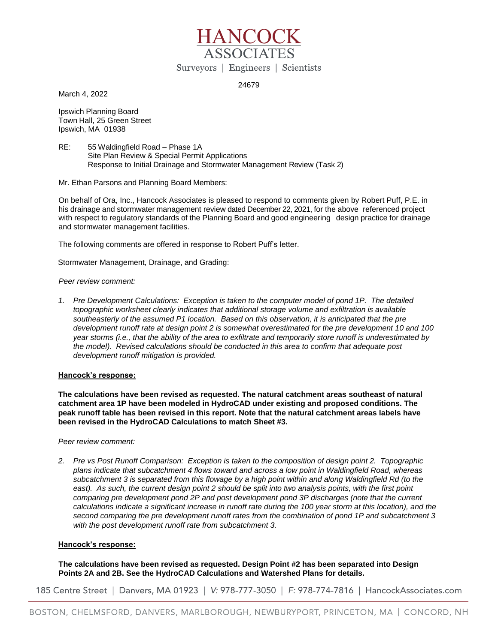

24679

March 4, 2022

Ipswich Planning Board Town Hall, 25 Green Street Ipswich, MA 01938

RE: 55 Waldingfield Road – Phase 1A Site Plan Review & Special Permit Applications Response to Initial Drainage and Stormwater Management Review (Task 2)

Mr. Ethan Parsons and Planning Board Members:

On behalf of Ora, Inc., Hancock Associates is pleased to respond to comments given by Robert Puff, P.E. in his drainage and stormwater management review dated December 22, 2021, for the above referenced project with respect to regulatory standards of the Planning Board and good engineering design practice for drainage and stormwater management facilities.

The following comments are offered in response to Robert Puff's letter.

# Stormwater Management, Drainage, and Grading:

## *Peer review comment:*

*1. Pre Development Calculations: Exception is taken to the computer model of pond 1P. The detailed topographic worksheet clearly indicates that additional storage volume and exfiltration is available southeasterly of the assumed P1 location. Based on this observation, it is anticipated that the pre*  development runoff rate at design point 2 is somewhat overestimated for the pre development 10 and 100 *year storms (i.e., that the ability of the area to exfiltrate and temporarily store runoff is underestimated by the model). Revised calculations should be conducted in this area to confirm that adequate post development runoff mitigation is provided.*

## **Hancock's response:**

**The calculations have been revised as requested. The natural catchment areas southeast of natural catchment area 1P have been modeled in HydroCAD under existing and proposed conditions. The peak runoff table has been revised in this report. Note that the natural catchment areas labels have been revised in the HydroCAD Calculations to match Sheet #3.**

*Peer review comment:*

*2. Pre vs Post Runoff Comparison: Exception is taken to the composition of design point 2. Topographic plans indicate that subcatchment 4 flows toward and across a low point in Waldingfield Road, whereas subcatchment 3 is separated from this flowage by a high point within and along Waldingfield Rd (to the*  east). As such, the current design point 2 should be split into two analysis points, with the first point *comparing pre development pond 2P and post development pond 3P discharges (note that the current calculations indicate a significant increase in runoff rate during the 100 year storm at this location), and the second comparing the pre development runoff rates from the combination of pond 1P and subcatchment 3 with the post development runoff rate from subcatchment 3.*

## **Hancock's response:**

**The calculations have been revised as requested. Design Point #2 has been separated into Design Points 2A and 2B. See the HydroCAD Calculations and Watershed Plans for details.**

185 Centre Street | Danvers, MA 01923 | V: 978-777-3050 | F: 978-774-7816 | HancockAssociates.com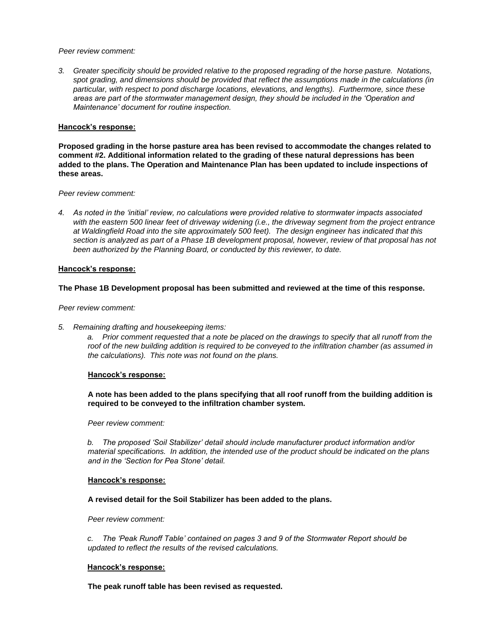#### *Peer review comment:*

*3. Greater specificity should be provided relative to the proposed regrading of the horse pasture. Notations, spot grading, and dimensions should be provided that reflect the assumptions made in the calculations (in particular, with respect to pond discharge locations, elevations, and lengths). Furthermore, since these areas are part of the stormwater management design, they should be included in the 'Operation and Maintenance' document for routine inspection.* 

## **Hancock's response:**

**Proposed grading in the horse pasture area has been revised to accommodate the changes related to comment #2. Additional information related to the grading of these natural depressions has been added to the plans. The Operation and Maintenance Plan has been updated to include inspections of these areas.** 

*Peer review comment:*

*4. As noted in the 'initial' review, no calculations were provided relative to stormwater impacts associated with the eastern 500 linear feet of driveway widening (i.e., the driveway segment from the project entrance at Waldingfield Road into the site approximately 500 feet). The design engineer has indicated that this section is analyzed as part of a Phase 1B development proposal, however, review of that proposal has not been authorized by the Planning Board, or conducted by this reviewer, to date.* 

#### **Hancock's response:**

## **The Phase 1B Development proposal has been submitted and reviewed at the time of this response.**

*Peer review comment:*

*5. Remaining drafting and housekeeping items:* 

*a. Prior comment requested that a note be placed on the drawings to specify that all runoff from the roof of the new building addition is required to be conveyed to the infiltration chamber (as assumed in the calculations). This note was not found on the plans.* 

#### **Hancock's response:**

**A note has been added to the plans specifying that all roof runoff from the building addition is required to be conveyed to the infiltration chamber system.**

*Peer review comment:*

*b. The proposed 'Soil Stabilizer' detail should include manufacturer product information and/or material specifications. In addition, the intended use of the product should be indicated on the plans and in the 'Section for Pea Stone' detail.* 

#### **Hancock's response:**

## **A revised detail for the Soil Stabilizer has been added to the plans.**

*Peer review comment:*

*c. The 'Peak Runoff Table' contained on pages 3 and 9 of the Stormwater Report should be updated to reflect the results of the revised calculations.* 

## **Hancock's response:**

**The peak runoff table has been revised as requested.**